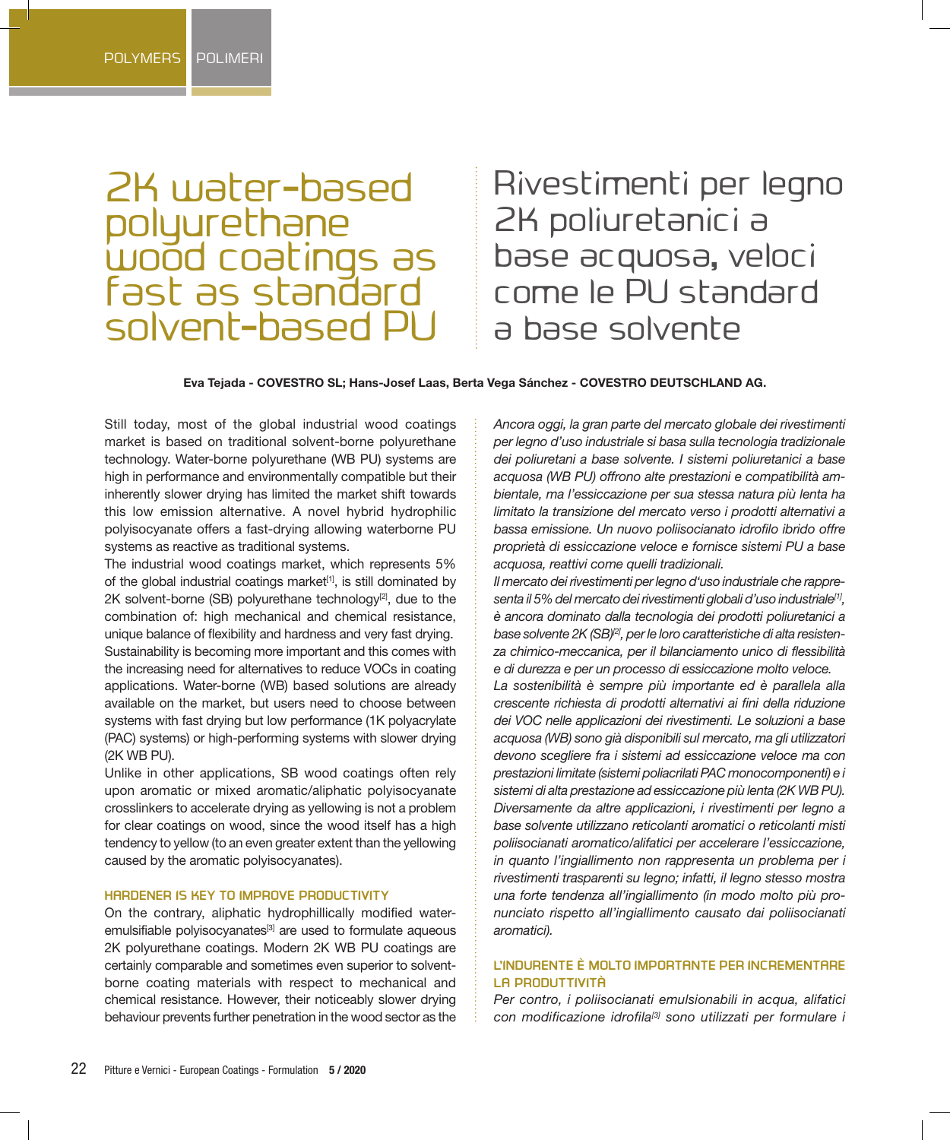# 2K water-based polyurethane wood coatings as fast as standard solvent-based PU

Rivestimenti per legno 2K poliuretanici a base acquosa, veloci come le PU standard a base solvente

**Eva Tejada - COVESTRO SL; Hans-Josef Laas, Berta Vega Sánchez - COVESTRO DEUTSCHLAND AG.**

Still today, most of the global industrial wood coatings market is based on traditional solvent-borne polyurethane technology. Water-borne polyurethane (WB PU) systems are high in performance and environmentally compatible but their inherently slower drying has limited the market shift towards this low emission alternative. A novel hybrid hydrophilic polyisocyanate offers a fast-drying allowing waterborne PU systems as reactive as traditional systems.

The industrial wood coatings market, which represents 5% of the global industrial coatings market<sup>[1]</sup>, is still dominated by  $2K$  solvent-borne (SB) polyurethane technology<sup>[2]</sup>, due to the combination of: high mechanical and chemical resistance, unique balance of flexibility and hardness and very fast drying. Sustainability is becoming more important and this comes with the increasing need for alternatives to reduce VOCs in coating applications. Water-borne (WB) based solutions are already available on the market, but users need to choose between systems with fast drying but low performance (1K polyacrylate (PAC) systems) or high-performing systems with slower drying (2K WB PU).

Unlike in other applications, SB wood coatings often rely upon aromatic or mixed aromatic/aliphatic polyisocyanate crosslinkers to accelerate drying as yellowing is not a problem for clear coatings on wood, since the wood itself has a high tendency to yellow (to an even greater extent than the yellowing caused by the aromatic polyisocyanates).

#### **HARDENER IS KEY TO IMPROVE PRODUCTIVITY**

On the contrary, aliphatic hydrophillically modified wateremulsifiable polyisocyanates<sup>[3]</sup> are used to formulate aqueous 2K polyurethane coatings. Modern 2K WB PU coatings are certainly comparable and sometimes even superior to solventborne coating materials with respect to mechanical and chemical resistance. However, their noticeably slower drying behaviour prevents further penetration in the wood sector as the

*Ancora oggi, la gran parte del mercato globale dei rivestimenti per legno d'uso industriale si basa sulla tecnologia tradizionale dei poliuretani a base solvente. I sistemi poliuretanici a base acquosa (WB PU) offrono alte prestazioni e compatibilità ambientale, ma l'essiccazione per sua stessa natura più lenta ha limitato la transizione del mercato verso i prodotti alternativi a bassa emissione. Un nuovo poliisocianato idrofilo ibrido offre proprietà di essiccazione veloce e fornisce sistemi PU a base acquosa, reattivi come quelli tradizionali.* 

*Il mercato dei rivestimenti per legno d'uso industriale che rappresenta il 5% del mercato dei rivestimenti globali d'uso industriale[1], è ancora dominato dalla tecnologia dei prodotti poliuretanici a*  base solvente 2K (SB)<sup>[2]</sup>, per le loro caratteristiche di alta resisten*za chimico-meccanica, per il bilanciamento unico di flessibilità e di durezza e per un processo di essiccazione molto veloce. La sostenibilità è sempre più importante ed è parallela alla crescente richiesta di prodotti alternativi ai fini della riduzione dei VOC nelle applicazioni dei rivestimenti. Le soluzioni a base acquosa (WB) sono già disponibili sul mercato, ma gli utilizzatori devono scegliere fra i sistemi ad essiccazione veloce ma con prestazioni limitate (sistemi poliacrilati PAC monocomponenti) e i sistemi di alta prestazione ad essiccazione più lenta (2K WB PU). Diversamente da altre applicazioni, i rivestimenti per legno a base solvente utilizzano reticolanti aromatici o reticolanti misti poliisocianati aromatico/alifatici per accelerare l'essiccazione, in quanto l'ingiallimento non rappresenta un problema per i rivestimenti trasparenti su legno; infatti, il legno stesso mostra una forte tendenza all'ingiallimento (in modo molto più pronunciato rispetto all'ingiallimento causato dai poliisocianati aromatici).*

## **L'INDURENTE È MOLTO IMPORTANTE PER INCREMENTARE LA PRODUTTIVITÀ**

*Per contro, i poliisocianati emulsionabili in acqua, alifatici con modificazione idrofila[3] sono utilizzati per formulare i*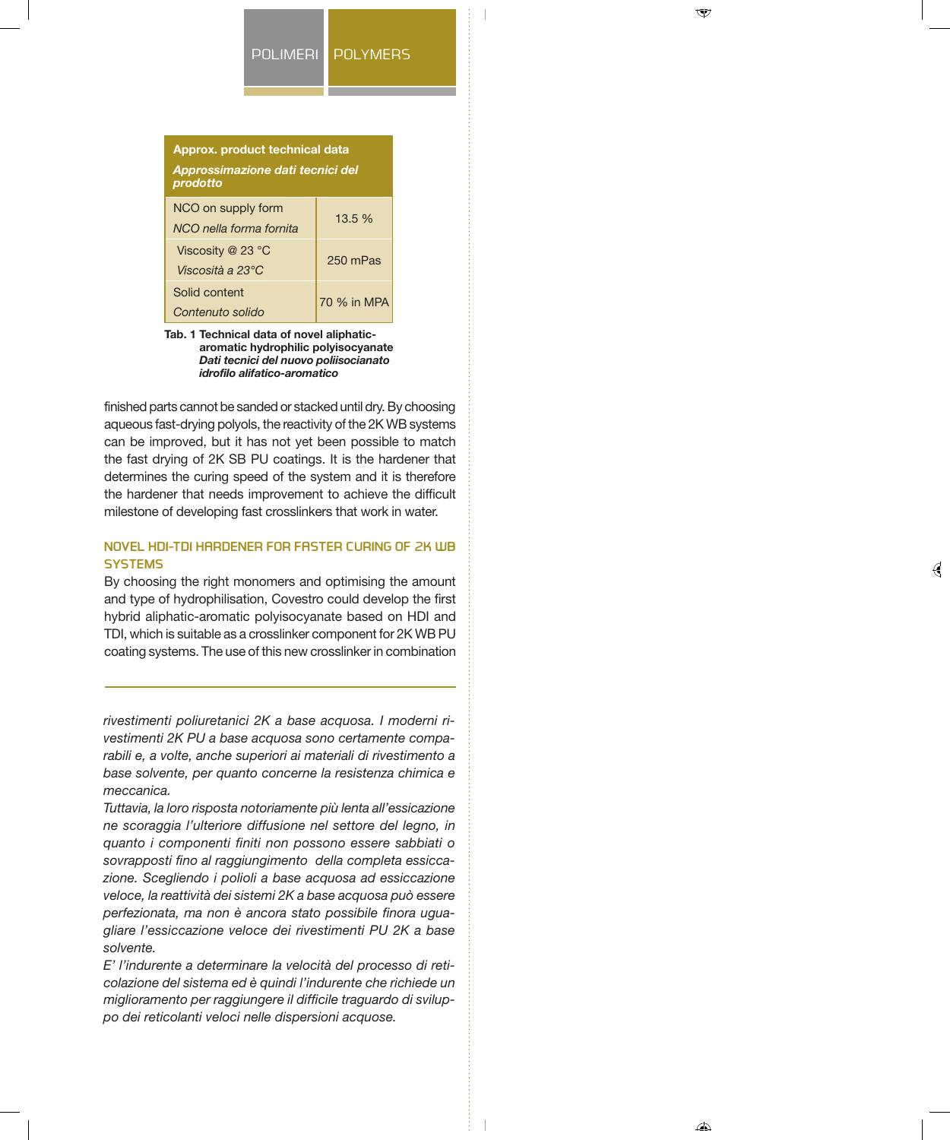#### POLIMERI POLYMERS



**Tab. 1 Technical data of novel aliphaticaromatic hydrophilic polyisocyanate**  *Dati tecnici del nuovo poliisocianato idrofilo alifatico-aromatico*

finished parts cannot be sanded or stacked until dry. By choosing aqueous fast-drying polyols, the reactivity of the 2K WB systems can be improved, but it has not yet been possible to match the fast drying of 2K SB PU coatings. It is the hardener that determines the curing speed of the system and it is therefore the hardener that needs improvement to achieve the difficult milestone of developing fast crosslinkers that work in water.

# **NOVEL HDI-TDI HARDENER FOR FASTER CURING OF 2K WB SYSTEMS**

By choosing the right monomers and optimising the amount and type of hydrophilisation, Covestro could develop the first hybrid aliphatic-aromatic polyisocyanate based on HDI and TDI, which is suitable as a crosslinker component for 2K WB PU coating systems. The use of this new crosslinker in combination

*rivestimenti poliuretanici 2K a base acquosa. I moderni rivestimenti 2K PU a base acquosa sono certamente comparabili e, a volte, anche superiori ai materiali di rivestimento a base solvente, per quanto concerne la resistenza chimica e meccanica.*

*Tuttavia, la loro risposta notoriamente più lenta all'essicazione ne scoraggia l'ulteriore diffusione nel settore del legno, in quanto i componenti finiti non possono essere sabbiati o sovrapposti fino al raggiungimento della completa essiccazione. Scegliendo i polioli a base acquosa ad essiccazione veloce, la reattività dei sistemi 2K a base acquosa può essere perfezionata, ma non è ancora stato possibile finora uguagliare l'essiccazione veloce dei rivestimenti PU 2K a base solvente.*

*E' l'indurente a determinare la velocità del processo di reticolazione del sistema ed è quindi l'indurente che richiede un miglioramento per raggiungere il difficile traguardo di sviluppo dei reticolanti veloci nelle dispersioni acquose.*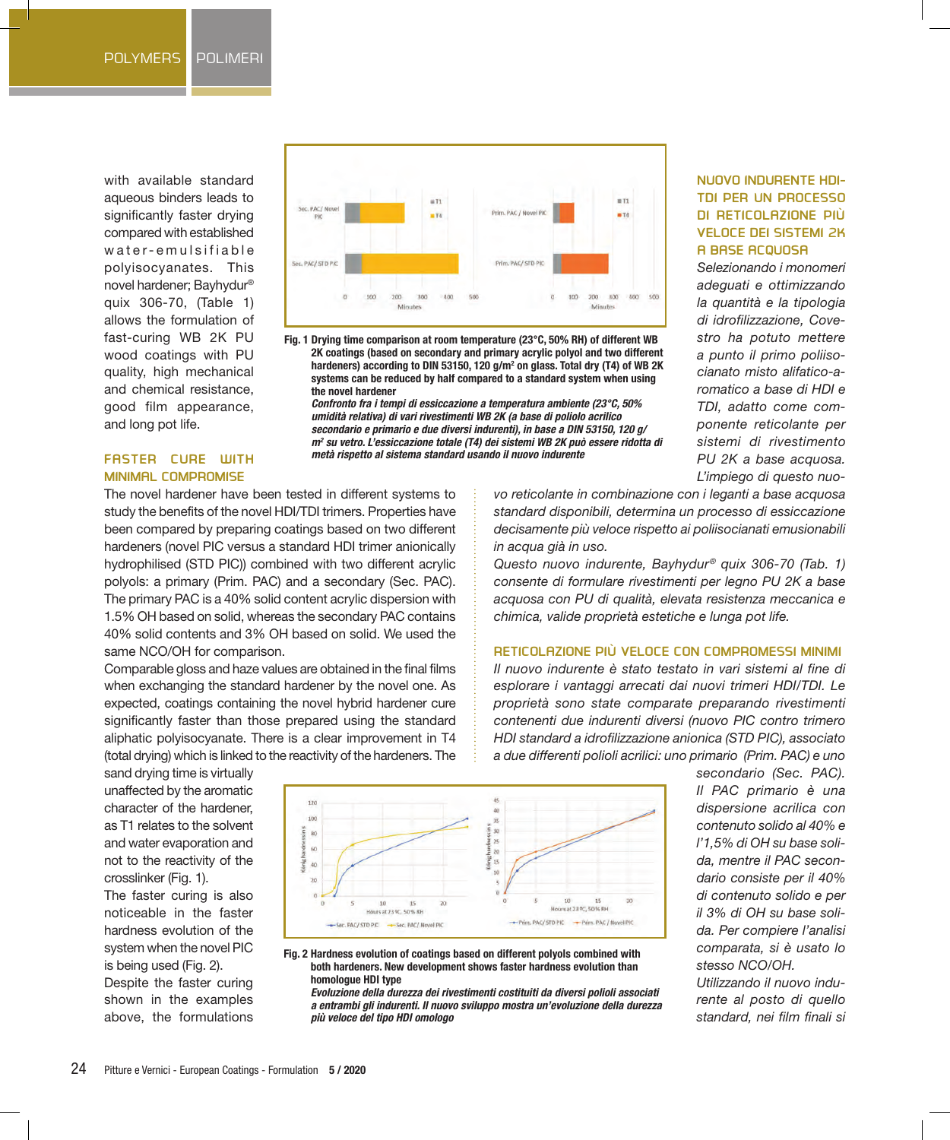with available standard aqueous binders leads to significantly faster drying compared with established water-emulsifiable polyisocyanates. This novel hardener; Bayhydur® quix 306-70, (Table 1) allows the formulation of fast-curing WB 2K PU wood coatings with PU quality, high mechanical and chemical resistance, good film appearance, and long pot life.



**Fig. 1 Drying time comparison at room temperature (23°C, 50% RH) of different WB 2K coatings (based on secondary and primary acrylic polyol and two different**  hardeners) according to DIN 53150, 120 g/m<sup>2</sup> on glass. Total dry (T4) of WB 2K **systems can be reduced by half compared to a standard system when using the novel hardener** 

*Confronto fra i tempi di essiccazione a temperatura ambiente (23°C, 50% umidità relativa) di vari rivestimenti WB 2K (a base di poliolo acrilico secondario e primario e due diversi indurenti), in base a DIN 53150, 120 g/ m2 su vetro. L'essiccazione totale (T4) dei sistemi WB 2K può essere ridotta di metà rispetto al sistema standard usando il nuovo indurente*

# **NUOVO INDURENTE HDI-TDI PER UN PROCESSO DI RETICOLAZIONE PIÙ VELOCE DEI SISTEMI 2K A BASE ACQUOSA**

*Selezionando i monomeri adeguati e ottimizzando la quantità e la tipologia di idrofilizzazione, Covestro ha potuto mettere a punto il primo poliisocianato misto alifatico-aromatico a base di HDI e TDI, adatto come componente reticolante per sistemi di rivestimento PU 2K a base acquosa. L'impiego di questo nuo-*

## **FASTER CURE WITH MINIMAL COMPROMISE**

The novel hardener have been tested in different systems to study the benefits of the novel HDI/TDI trimers. Properties have been compared by preparing coatings based on two different hardeners (novel PIC versus a standard HDI trimer anionically hydrophilised (STD PIC)) combined with two different acrylic polyols: a primary (Prim. PAC) and a secondary (Sec. PAC). The primary PAC is a 40% solid content acrylic dispersion with 1.5% OH based on solid, whereas the secondary PAC contains 40% solid contents and 3% OH based on solid. We used the same NCO/OH for comparison.

Comparable gloss and haze values are obtained in the final films when exchanging the standard hardener by the novel one. As expected, coatings containing the novel hybrid hardener cure significantly faster than those prepared using the standard aliphatic polyisocyanate. There is a clear improvement in T4 (total drying) which is linked to the reactivity of the hardeners. The

*in acqua già in uso. Questo nuovo indurente, Bayhydur® quix 306-70 (Tab. 1) consente di formulare rivestimenti per legno PU 2K a base acquosa con PU di qualità, elevata resistenza meccanica e chimica, valide proprietà estetiche e lunga pot life.*

## **RETICOLAZIONE PIÙ VELOCE CON COMPROMESSI MINIMI**

*vo reticolante in combinazione con i leganti a base acquosa standard disponibili, determina un processo di essiccazione decisamente più veloce rispetto ai poliisocianati emusionabili* 

*Il nuovo indurente è stato testato in vari sistemi al fine di esplorare i vantaggi arrecati dai nuovi trimeri HDI/TDI. Le proprietà sono state comparate preparando rivestimenti contenenti due indurenti diversi (nuovo PIC contro trimero HDI standard a idrofilizzazione anionica (STD PIC), associato a due differenti polioli acrilici: uno primario (Prim. PAC) e uno* 

sand drying time is virtually unaffected by the aromatic character of the hardener, as T1 relates to the solvent and water evaporation and not to the reactivity of the crosslinker (Fig. 1).

The faster curing is also noticeable in the faster hardness evolution of the system when the novel PIC is being used (Fig. 2).

Despite the faster curing shown in the examples above, the formulations



*Il PAC primario è una dispersione acrilica con contenuto solido al 40% e l'1,5% di OH su base solida, mentre il PAC secondario consiste per il 40% di contenuto solido e per il 3% di OH su base solida. Per compiere l'analisi comparata, si è usato lo stesso NCO/OH.* 

*secondario (Sec. PAC).* 

*Utilizzando il nuovo indurente al posto di quello standard, nei film finali si* 

#### **Fig. 2 Hardness evolution of coatings based on different polyols combined with both hardeners. New development shows faster hardness evolution than homologue HDI type**

*Evoluzione della durezza dei rivestimenti costituiti da diversi polioli associati a entrambi gli indurenti. Il nuovo sviluppo mostra un'evoluzione della durezza più veloce del tipo HDI omologo*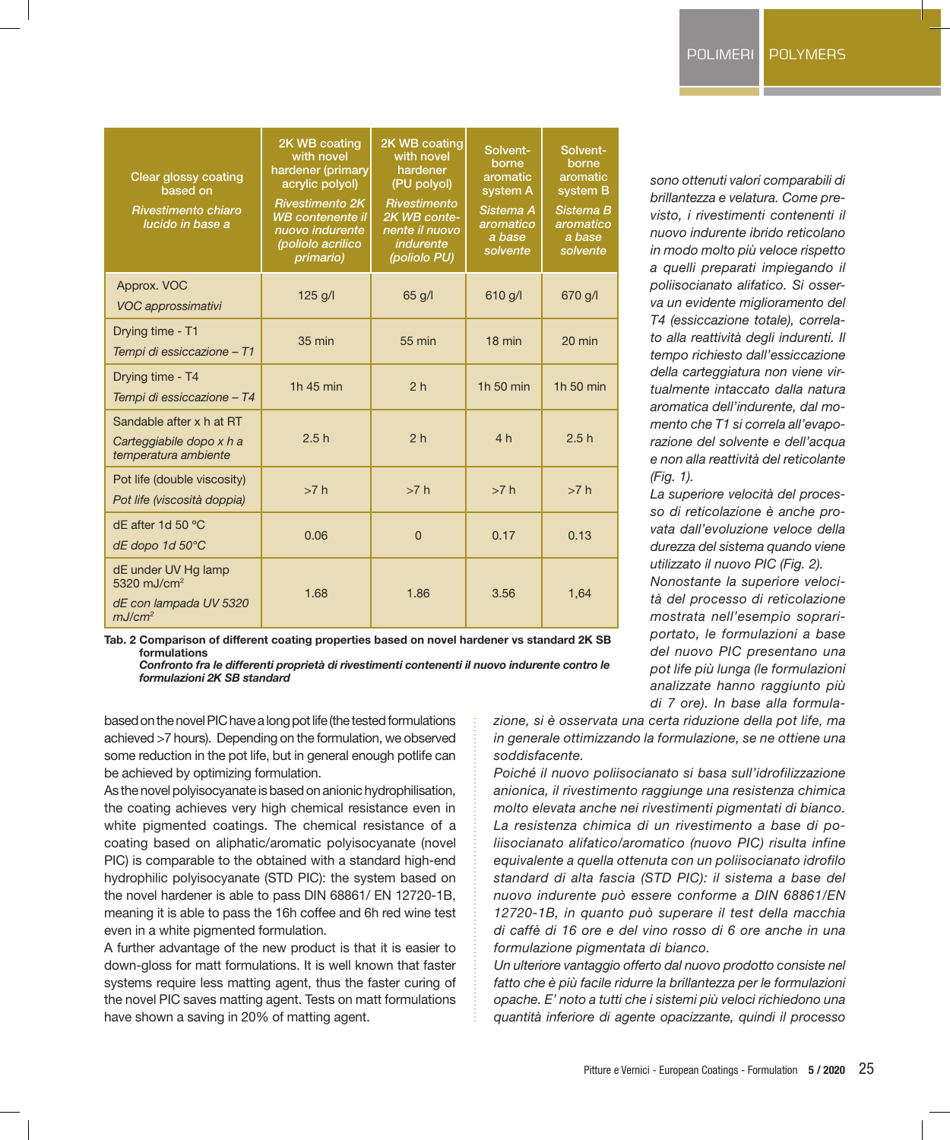| <b>Clear glossy coating</b><br>based on<br>Rivestimento chiaro<br>lucido in base a             | 2K WB coating<br>with novel<br>hardener (primary<br>acrylic polyol)<br><b>Rivestimento 2K</b><br><b>WB</b> contenente il<br>nuovo indurente<br>(poliolo acrilico<br>primario) | 2K WB coating<br>with novel<br>hardener<br>(PU polyol)<br><b>Rivestimento</b><br>2K WB conte-<br>nente il nuovo<br><i>indurente</i><br>(poliolo PU) | Solvent-<br>borne<br>aromatic<br>system A<br>Sistema A<br>aromatico<br>a base<br>solvente | Solvent-<br>borne<br>aromatic<br>system B<br>Sistema B<br>aromatico<br>a base<br>solvente |
|------------------------------------------------------------------------------------------------|-------------------------------------------------------------------------------------------------------------------------------------------------------------------------------|-----------------------------------------------------------------------------------------------------------------------------------------------------|-------------------------------------------------------------------------------------------|-------------------------------------------------------------------------------------------|
| Approx. VOC<br><b>VOC approssimativi</b>                                                       | $125$ g/l                                                                                                                                                                     | $65$ g/l                                                                                                                                            | 610 q/l                                                                                   | 670 g/l                                                                                   |
| Drying time - T1<br>Tempi di essiccazione - T1                                                 | $35 \text{ min}$                                                                                                                                                              | 55 min                                                                                                                                              | $18$ min                                                                                  | $20 \text{ min}$                                                                          |
| Drying time - T4<br>Tempi di essiccazione - T4                                                 | 1h 45 min                                                                                                                                                                     | 2 <sub>h</sub>                                                                                                                                      | 1h 50 min                                                                                 | 1h 50 min                                                                                 |
| Sandable after x h at RT<br>Carteggiabile dopo x h a<br>temperatura ambiente                   | 2.5h                                                                                                                                                                          | 2 <sub>h</sub>                                                                                                                                      | 4h                                                                                        | 2.5h                                                                                      |
| Pot life (double viscosity)<br>Pot life (viscosità doppia)                                     | >7 h                                                                                                                                                                          | >7 h                                                                                                                                                | >7 h                                                                                      | >7 h                                                                                      |
| dE after 1d 50 °C<br>dE dopo 1d 50°C                                                           | 0.06                                                                                                                                                                          | $\Omega$                                                                                                                                            | 0.17                                                                                      | 0.13                                                                                      |
| dE under UV Hg lamp<br>5320 mJ/cm <sup>2</sup><br>dE con lampada UV 5320<br>mJ/cm <sup>2</sup> | 1.68                                                                                                                                                                          | 1.86                                                                                                                                                | 3.56                                                                                      | 1,64                                                                                      |

**Tab. 2 Comparison of different coating properties based on novel hardener vs standard 2K SB formulations**  *Confronto fra le differenti proprietà di rivestimenti contenenti il nuovo indurente contro le* 

*formulazioni 2K SB standard*

based on the novel PIC have a long pot life (the tested formulations achieved >7 hours). Depending on the formulation, we observed some reduction in the pot life, but in general enough potlife can be achieved by optimizing formulation.

As the novel polyisocyanate is based on anionic hydrophilisation, the coating achieves very high chemical resistance even in white pigmented coatings. The chemical resistance of a coating based on aliphatic/aromatic polyisocyanate (novel PIC) is comparable to the obtained with a standard high-end hydrophilic polyisocyanate (STD PIC): the system based on the novel hardener is able to pass DIN 68861/ EN 12720-1B, meaning it is able to pass the 16h coffee and 6h red wine test even in a white pigmented formulation.

A further advantage of the new product is that it is easier to down-gloss for matt formulations. It is well known that faster systems require less matting agent, thus the faster curing of the novel PIC saves matting agent. Tests on matt formulations have shown a saving in 20% of matting agent.

*sono ottenuti valori comparabili di brillantezza e velatura. Come previsto, i rivestimenti contenenti il nuovo indurente ibrido reticolano in modo molto più veloce rispetto a quelli preparati impiegando il poliisocianato alifatico. Si osserva un evidente miglioramento del T4 (essiccazione totale), correlato alla reattività degli indurenti. Il tempo richiesto dall'essiccazione della carteggiatura non viene virtualmente intaccato dalla natura aromatica dell'indurente, dal momento che T1 si correla all'evaporazione del solvente e dell'acqua e non alla reattività del reticolante (Fig. 1).*

*La superiore velocità del processo di reticolazione è anche provata dall'evoluzione veloce della durezza del sistema quando viene utilizzato il nuovo PIC (Fig. 2).*

*Nonostante la superiore velocità del processo di reticolazione mostrata nell'esempio soprariportato, le formulazioni a base del nuovo PIC presentano una pot life più lunga (le formulazioni analizzate hanno raggiunto più di 7 ore). In base alla formula-*

*zione, si è osservata una certa riduzione della pot life, ma in generale ottimizzando la formulazione, se ne ottiene una soddisfacente.*

*Poiché il nuovo poliisocianato si basa sull'idrofilizzazione anionica, il rivestimento raggiunge una resistenza chimica molto elevata anche nei rivestimenti pigmentati di bianco. La resistenza chimica di un rivestimento a base di poliisocianato alifatico/aromatico (nuovo PIC) risulta infine equivalente a quella ottenuta con un poliisocianato idrofilo standard di alta fascia (STD PIC): il sistema a base del nuovo indurente può essere conforme a DIN 68861/EN 12720-1B, in quanto può superare il test della macchia di caffè di 16 ore e del vino rosso di 6 ore anche in una formulazione pigmentata di bianco.*

*Un ulteriore vantaggio offerto dal nuovo prodotto consiste nel fatto che è più facile ridurre la brillantezza per le formulazioni opache. E' noto a tutti che i sistemi più veloci richiedono una quantità inferiore di agente opacizzante, quindi il processo*